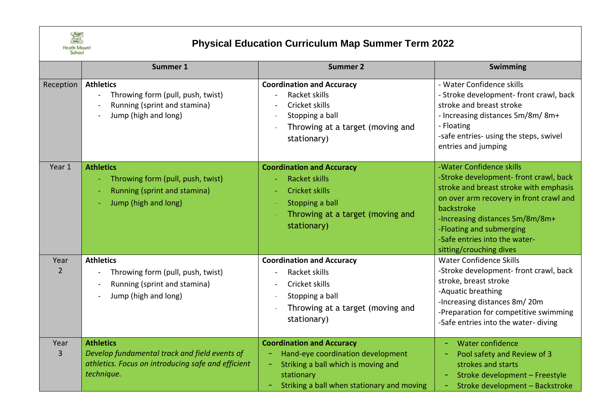

## **Physical Education Curriculum Map Summer Term 2022**

|           | Summer 1                                                                                                                              | <b>Summer 2</b>                                                                                                                                                          | Swimming                                                                                                                                                                                                                                                                                         |
|-----------|---------------------------------------------------------------------------------------------------------------------------------------|--------------------------------------------------------------------------------------------------------------------------------------------------------------------------|--------------------------------------------------------------------------------------------------------------------------------------------------------------------------------------------------------------------------------------------------------------------------------------------------|
| Reception | <b>Athletics</b><br>Throwing form (pull, push, twist)<br>Running (sprint and stamina)<br>Jump (high and long)                         | <b>Coordination and Accuracy</b><br>Racket skills<br>Cricket skills<br>Stopping a ball<br>Throwing at a target (moving and<br>stationary)                                | - Water Confidence skills<br>- Stroke development- front crawl, back<br>stroke and breast stroke<br>- Increasing distances 5m/8m/8m+<br>- Floating<br>-safe entries- using the steps, swivel<br>entries and jumping                                                                              |
| Year 1    | <b>Athletics</b><br>Throwing form (pull, push, twist)<br>Running (sprint and stamina)<br>Jump (high and long)                         | <b>Coordination and Accuracy</b><br><b>Racket skills</b><br><b>Cricket skills</b><br>Stopping a ball<br>Throwing at a target (moving and<br>stationary)                  | -Water Confidence skills<br>-Stroke development- front crawl, back<br>stroke and breast stroke with emphasis<br>on over arm recovery in front crawl and<br>backstroke<br>-Increasing distances 5m/8m/8m+<br>-Floating and submerging<br>-Safe entries into the water-<br>sitting/crouching dives |
| Year<br>2 | <b>Athletics</b><br>Throwing form (pull, push, twist)<br>Running (sprint and stamina)<br>Jump (high and long)                         | <b>Coordination and Accuracy</b><br>Racket skills<br>Cricket skills<br>Stopping a ball<br>Throwing at a target (moving and<br>stationary)                                | <b>Water Confidence Skills</b><br>-Stroke development- front crawl, back<br>stroke, breast stroke<br>-Aquatic breathing<br>-Increasing distances 8m/20m<br>-Preparation for competitive swimming<br>-Safe entries into the water- diving                                                         |
| Year<br>3 | <b>Athletics</b><br>Develop fundamental track and field events of<br>athletics. Focus on introducing safe and efficient<br>technique. | <b>Coordination and Accuracy</b><br>Hand-eye coordination development<br>Striking a ball which is moving and<br>stationary<br>Striking a ball when stationary and moving | Water confidence<br>Pool safety and Review of 3<br>strokes and starts<br>Stroke development - Freestyle<br>Stroke development - Backstroke                                                                                                                                                       |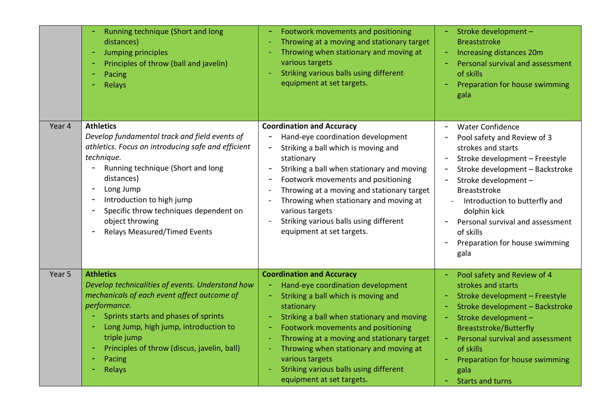|        | Running technique (Short and long<br>distances)<br>Jumping principles<br>Principles of throw (ball and javelin)<br>Pacing<br>Relays                                                                                                                                                                                                                                                                    | Footwork movements and positioning<br>Throwing at a moving and stationary target<br>Throwing when stationary and moving at<br>various targets<br>Striking various balls using different<br>equipment at set targets.                                                                                                                                                                             | Stroke development -<br><b>Breaststroke</b><br>Increasing distances 20m<br>Personal survival and assessment<br>of skills<br>Preparation for house swimming<br>gala                                                                                                                                                                                             |
|--------|--------------------------------------------------------------------------------------------------------------------------------------------------------------------------------------------------------------------------------------------------------------------------------------------------------------------------------------------------------------------------------------------------------|--------------------------------------------------------------------------------------------------------------------------------------------------------------------------------------------------------------------------------------------------------------------------------------------------------------------------------------------------------------------------------------------------|----------------------------------------------------------------------------------------------------------------------------------------------------------------------------------------------------------------------------------------------------------------------------------------------------------------------------------------------------------------|
| Year 4 | <b>Athletics</b><br>Develop fundamental track and field events of<br>athletics. Focus on introducing safe and efficient<br>technique.<br>Running technique (Short and long<br>distances)<br>Long Jump<br>$\overline{a}$<br>Introduction to high jump<br>$\overline{a}$<br>Specific throw techniques dependent on<br>$\overline{\phantom{0}}$<br>object throwing<br><b>Relays Measured/Timed Events</b> | <b>Coordination and Accuracy</b><br>Hand-eye coordination development<br>Striking a ball which is moving and<br>stationary<br>Striking a ball when stationary and moving<br>Footwork movements and positioning<br>Throwing at a moving and stationary target<br>Throwing when stationary and moving at<br>various targets<br>Striking various balls using different<br>equipment at set targets. | <b>Water Confidence</b><br>Pool safety and Review of 3<br>strokes and starts<br>Stroke development - Freestyle<br>Stroke development - Backstroke<br>$\blacksquare$<br>Stroke development -<br><b>Breaststroke</b><br>Introduction to butterfly and<br>dolphin kick<br>Personal survival and assessment<br>of skills<br>Preparation for house swimming<br>gala |
| Year 5 | <b>Athletics</b><br>Develop technicalities of events. Understand how<br>mechanicals of each event affect outcome of<br>performance.<br>Sprints starts and phases of sprints<br>Long Jump, high jump, introduction to<br>$\equiv$<br>triple jump<br>Principles of throw (discus, javelin, ball)<br>Pacing<br>Relays                                                                                     | <b>Coordination and Accuracy</b><br>Hand-eye coordination development<br>Striking a ball which is moving and<br>stationary<br>Striking a ball when stationary and moving<br>Footwork movements and positioning<br>Throwing at a moving and stationary target<br>Throwing when stationary and moving at<br>various targets<br>Striking various balls using different<br>equipment at set targets. | Pool safety and Review of 4<br>strokes and starts<br>Stroke development - Freestyle<br>Stroke development - Backstroke<br>Stroke development -<br>$\equiv$<br><b>Breaststroke/Butterfly</b><br>Personal survival and assessment<br>$\equiv$<br>of skills<br>Preparation for house swimming<br>gala<br><b>Starts and turns</b>                                  |